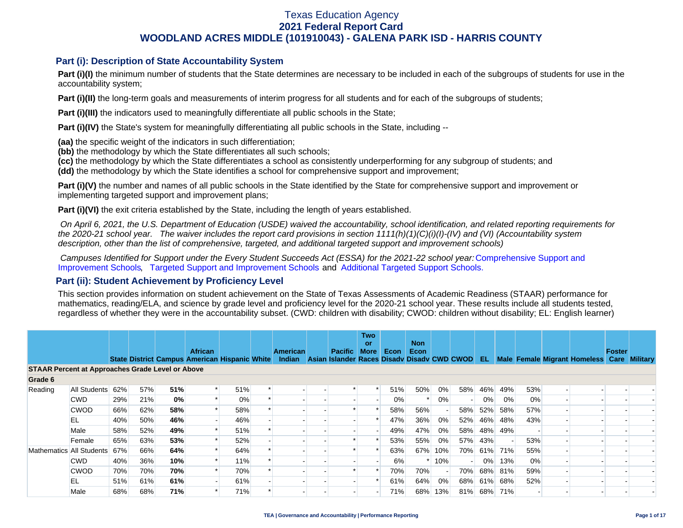## **Part (i): Description of State Accountability System**

**Part (i)(I)** the minimum number of students that the State determines are necessary to be included in each of the subgroups of students for use in the accountability system;

**Part (i)(II)** the long-term goals and measurements of interim progress for all students and for each of the subgroups of students;

**Part (i)(III)** the indicators used to meaningfully differentiate all public schools in the State;

**Part (i)(IV)** the State's system for meaningfully differentiating all public schools in the State, including --

**(aa)** the specific weight of the indicators in such differentiation;

**(bb)** the methodology by which the State differentiates all such schools;

**(cc)** the methodology by which the State differentiates a school as consistently underperforming for any subgroup of students; and

**(dd)** the methodology by which the State identifies a school for comprehensive support and improvement;

**Part (i)(V)** the number and names of all public schools in the State identified by the State for comprehensive support and improvement or implementing targeted support and improvement plans;

**Part (i)(VI)** the exit criteria established by the State, including the length of years established.

 *On April 6, 2021, the U.S. Department of Education (USDE) waived the accountability, school identification, and related reporting requirements for the 2020-21 school year. The waiver includes the report card provisions in section 1111(h)(1)(C)(i)(I)-(IV) and (VI) (Accountability system description, other than the list of comprehensive, targeted, and additional targeted support and improvement schools)* 

*Campuses Identified for Support under the Every Student Succeeds Act (ESSA) for the 2021-22 school year:* [Comprehensive Support and](https://tea.texas.gov/sites/default/files/comprehensive_support_2021.xlsx) [Improvement Schools](https://tea.texas.gov/sites/default/files/comprehensive_support_2021.xlsx), [Targeted Support and Improvement Schools](https://tea.texas.gov/sites/default/files/targeted_support_2021.xlsx) and [Additional Targeted Support Schools.](https://tea.texas.gov/sites/default/files/additional_targeted_support_2021.xlsx)

### **Part (ii): Student Achievement by Proficiency Level**

This section provides information on student achievement on the State of Texas Assessments of Academic Readiness (STAAR) performance for mathematics, reading/ELA, and science by grade level and proficiency level for the 2020-21 school year. These results include all students tested, regardless of whether they were in the accountability subset. (CWD: children with disability; CWOD: children without disability; EL: English learner)

|                                                         |                  |     |     |     | <b>African</b>                                       |       | <b>American</b> | <b>Pacific</b>                              | <b>Two</b><br>or<br><b>More</b> | Econ | <b>Non</b><br>Econ |     |     |       |         |     |                                   | Foster |                 |
|---------------------------------------------------------|------------------|-----|-----|-----|------------------------------------------------------|-------|-----------------|---------------------------------------------|---------------------------------|------|--------------------|-----|-----|-------|---------|-----|-----------------------------------|--------|-----------------|
| <b>STAAR Percent at Approaches Grade Level or Above</b> |                  |     |     |     | <b>State District Campus American Hispanic White</b> |       | Indian          | Asian Islander Races Disady Disady CWD CWOD |                                 |      |                    |     |     | EL    |         |     | Male Female Migrant Homeless Care |        | <b>Military</b> |
| Grade 6                                                 |                  |     |     |     |                                                      |       |                 |                                             |                                 |      |                    |     |     |       |         |     |                                   |        |                 |
| Reading                                                 | All Students 62% |     | 57% | 51% | $\ast$                                               | 51%   |                 |                                             |                                 | 51%  | 50%                | 0%  | 58% | 46%   | 49%     | 53% |                                   |        |                 |
|                                                         | <b>CWD</b>       | 29% | 21% | 0%  |                                                      | $0\%$ |                 |                                             |                                 | 0%   |                    | 0%  |     | 0%    | 0%      | 0%  |                                   |        |                 |
|                                                         | <b>CWOD</b>      | 66% | 62% | 58% |                                                      | 58%   |                 |                                             |                                 | 58%  | 56%                |     | 58% | 52%   | 58%     | 57% |                                   |        |                 |
|                                                         | EL               | 40% | 50% | 46% |                                                      | 46%   |                 |                                             |                                 | 47%  | 36%                | 0%  | 52% | 46%   | 48%     | 43% |                                   |        |                 |
|                                                         | Male             | 58% | 52% | 49% |                                                      | 51%   |                 |                                             |                                 | 49%  | 47%                | 0%  | 58% |       | 48% 49% |     |                                   |        |                 |
|                                                         | Female           | 65% | 63% | 53% |                                                      | 52%   |                 |                                             |                                 | 53%  | 55%                | 0%  | 57% | 43%   |         | 53% |                                   |        |                 |
| Mathematics All Students                                |                  | 67% | 66% | 64% |                                                      | 64%   |                 |                                             |                                 | 63%  | 67%                | 10% | 70% |       | 61% 71% | 55% |                                   |        |                 |
|                                                         | <b>CWD</b>       | 40% | 36% | 10% |                                                      | 11%   |                 |                                             |                                 | 6%   |                    | 10% |     | $0\%$ | 13%     | 0%  |                                   |        |                 |
|                                                         | <b>CWOD</b>      | 70% | 70% | 70% |                                                      | 70%   |                 |                                             |                                 | 70%  | 70%                |     | 70% |       | 68% 81% | 59% |                                   |        |                 |
|                                                         | EL               | 51% | 61% | 61% |                                                      | 61%   |                 |                                             |                                 | 61%  | 64%                | 0%  | 68% |       | 61% 68% | 52% |                                   |        |                 |
|                                                         | Male             | 68% | 68% | 71% |                                                      | 71%   |                 |                                             |                                 | 71%  | 68%                | 13% | 81% |       | 68% 71% |     |                                   |        |                 |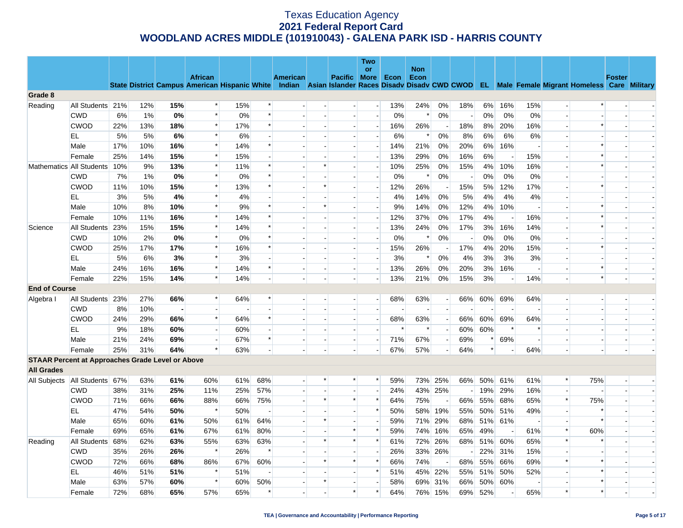|                      |                                                         |     |       |     |                          |     |        |                 |                |              | Two                      |        |                    |                          |     |        |       |                          |                          |                                                                                                                                                |               |  |
|----------------------|---------------------------------------------------------|-----|-------|-----|--------------------------|-----|--------|-----------------|----------------|--------------|--------------------------|--------|--------------------|--------------------------|-----|--------|-------|--------------------------|--------------------------|------------------------------------------------------------------------------------------------------------------------------------------------|---------------|--|
|                      |                                                         |     |       |     | <b>African</b>           |     |        | <b>American</b> |                | Pacific More | or                       | Econ   | <b>Non</b><br>Econ |                          |     |        |       |                          |                          |                                                                                                                                                | <b>Foster</b> |  |
|                      |                                                         |     |       |     |                          |     |        |                 |                |              |                          |        |                    |                          |     |        |       |                          |                          | State District Campus American Hispanic White Indian Asian Islander Races Disady Disady CWD CWOD EL Male Female Migrant Homeless Care Military |               |  |
| Grade 8              |                                                         |     |       |     |                          |     |        |                 |                |              |                          |        |                    |                          |     |        |       |                          |                          |                                                                                                                                                |               |  |
| Reading              | All Students 21%                                        |     | 12%   | 15% | $\ast$                   | 15% | $\ast$ |                 |                |              | $\overline{a}$           | 13%    | 24%                | 0%                       | 18% | 6%     | 16%   | 15%                      | $\overline{\phantom{a}}$ | $\ast$                                                                                                                                         |               |  |
|                      | <b>CWD</b>                                              | 6%  | 1%    | 0%  | $\ast$                   | 0%  | $\ast$ |                 |                |              | $\overline{a}$           | 0%     | $\ast$             | 0%                       |     | 0%     | 0%    | 0%                       | $\overline{a}$           |                                                                                                                                                |               |  |
|                      | <b>CWOD</b>                                             | 22% | 13%   | 18% | $\ast$                   | 17% | $\ast$ |                 |                |              | $\overline{\phantom{a}}$ | 16%    | 26%                | $\overline{\phantom{a}}$ | 18% | 8%     | 20%   | 16%                      | $\blacksquare$           | *                                                                                                                                              |               |  |
|                      | EL.                                                     | 5%  | 5%    | 6%  | $\ast$                   | 6%  |        |                 |                |              | $\overline{\phantom{a}}$ | 6%     | $\ast$             | 0%                       | 8%  | 6%     | 6%    | 6%                       | $\overline{\phantom{a}}$ |                                                                                                                                                |               |  |
|                      | Male                                                    | 17% | 10%   | 16% | $\ast$                   | 14% | $\ast$ |                 |                |              | $\overline{\phantom{a}}$ | 14%    | 21%                | 0%                       | 20% | 6%     | 16%   |                          |                          | $\ast$                                                                                                                                         |               |  |
|                      | Female                                                  | 25% | 14%   | 15% | $\ast$                   | 15% |        |                 |                |              | $\overline{a}$           | 13%    | 29%                | 0%                       | 16% | 6%     |       | 15%                      | $\overline{a}$           | $\ast$                                                                                                                                         |               |  |
|                      | Mathematics All Students                                | 10% | 9%    | 13% | $\ast$                   | 11% | $\ast$ |                 | $\ast$         |              | ÷,                       | 10%    | 25%                | 0%                       | 15% | 4%     | 10%   | 16%                      |                          | $\ast$                                                                                                                                         |               |  |
|                      | <b>CWD</b>                                              | 7%  | $1\%$ | 0%  | $\ast$                   | 0%  | $\ast$ |                 |                |              | $\overline{\phantom{a}}$ | 0%     | $\ast$             | 0%                       |     | 0%     | 0%    | 0%                       | $\blacksquare$           |                                                                                                                                                |               |  |
|                      | <b>CWOD</b>                                             | 11% | 10%   | 15% | $\ast$                   | 13% | $\ast$ |                 | $\ast$         |              | $\overline{a}$           | 12%    | 26%                |                          | 15% | 5%     | 12%   | 17%                      |                          | $\ast$                                                                                                                                         |               |  |
|                      | EL                                                      | 3%  | 5%    | 4%  | $\ast$                   | 4%  |        |                 |                |              | $\overline{\phantom{a}}$ | 4%     | 14%                | 0%                       | 5%  | 4%     | 4%    | 4%                       |                          |                                                                                                                                                |               |  |
|                      | Male                                                    | 10% | 8%    | 10% | $\ast$                   | 9%  | $\ast$ |                 | $\ast$         |              | $\overline{a}$           | 9%     | 14%                | 0%                       | 12% | 4%     | 10%   | $\overline{a}$           | $\sim$                   | $\ast$                                                                                                                                         |               |  |
|                      | Female                                                  | 10% | 11%   | 16% | $\ast$                   | 14% | $\ast$ |                 |                |              | $\overline{\phantom{a}}$ | 12%    | 37%                | 0%                       | 17% | 4%     |       | 16%                      | $\overline{a}$           | $\ast$                                                                                                                                         |               |  |
| Science              | All Students                                            | 23% | 15%   | 15% | $\ast$                   | 14% | $\ast$ |                 |                |              | $\overline{a}$           | 13%    | 24%                | 0%                       | 17% | 3%     | 16%   | 14%                      | $\blacksquare$           | $\ast$                                                                                                                                         |               |  |
|                      | <b>CWD</b>                                              | 10% | 2%    | 0%  | $\ast$                   | 0%  | $\ast$ |                 |                |              | $\overline{a}$           | 0%     | $\ast$             | 0%                       |     | 0%     | $0\%$ | 0%                       |                          |                                                                                                                                                |               |  |
|                      | <b>CWOD</b>                                             | 25% | 17%   | 17% | $\ast$                   | 16% | $\ast$ |                 |                |              | $\overline{\phantom{a}}$ | 15%    | 26%                |                          | 17% | 4%     | 20%   | 15%                      | $\overline{a}$           | *                                                                                                                                              |               |  |
|                      | EL                                                      | 5%  | 6%    | 3%  | $\ast$                   | 3%  |        |                 |                |              | $\overline{\phantom{a}}$ | 3%     | $\ast$             | 0%                       | 4%  | 3%     | 3%    | 3%                       | $\overline{a}$           |                                                                                                                                                |               |  |
|                      | Male                                                    | 24% | 16%   | 16% | $\ast$                   | 14% | $\ast$ |                 |                |              | $\overline{\phantom{a}}$ | 13%    | 26%                | 0%                       | 20% | 3%     | 16%   |                          |                          | $\ast$                                                                                                                                         |               |  |
|                      | Female                                                  | 22% | 15%   | 14% | $\ast$                   | 14% |        |                 |                |              | $\overline{a}$           | 13%    | 21%                | 0%                       | 15% | 3%     |       | 14%                      | $\overline{\phantom{a}}$ | $\ast$                                                                                                                                         |               |  |
| <b>End of Course</b> |                                                         |     |       |     |                          |     |        |                 |                |              |                          |        |                    |                          |     |        |       |                          |                          |                                                                                                                                                |               |  |
| Algebra I            | All Students 23%                                        |     | 27%   | 66% | $\ast$                   | 64% | $\ast$ |                 | $\overline{a}$ |              | $\overline{a}$           | 68%    | 63%                | $\overline{a}$           | 66% | 60%    | 69%   | 64%                      | $\overline{a}$           | $\sim$                                                                                                                                         |               |  |
|                      | <b>CWD</b>                                              | 8%  | 10%   |     | $\overline{\phantom{a}}$ |     |        |                 |                |              |                          |        |                    |                          |     |        |       |                          |                          |                                                                                                                                                |               |  |
|                      | <b>CWOD</b>                                             | 24% | 29%   | 66% | $\ast$                   | 64% | $\ast$ |                 |                |              | $\sim$                   | 68%    | 63%                |                          | 66% | 60%    | 69%   | 64%                      |                          | $\overline{a}$                                                                                                                                 |               |  |
|                      | EL                                                      | 9%  | 18%   | 60% | $\sim$                   | 60% |        |                 |                |              |                          | $\ast$ | $\ast$             |                          | 60% | 60%    |       | $\ast$                   |                          |                                                                                                                                                |               |  |
|                      | Male                                                    | 21% | 24%   | 69% | $\overline{\phantom{a}}$ | 67% | $\ast$ |                 |                |              | $\overline{\phantom{a}}$ | 71%    | 67%                |                          | 69% | ∗      | 69%   |                          |                          | $\blacksquare$                                                                                                                                 |               |  |
|                      | Female                                                  | 25% | 31%   | 64% | $\ast$                   | 63% |        |                 |                |              | $\overline{a}$           | 67%    | 57%                |                          | 64% | $\ast$ |       | 64%                      |                          |                                                                                                                                                |               |  |
|                      | <b>STAAR Percent at Approaches Grade Level or Above</b> |     |       |     |                          |     |        |                 |                |              |                          |        |                    |                          |     |        |       |                          |                          |                                                                                                                                                |               |  |
| <b>All Grades</b>    |                                                         |     |       |     |                          |     |        |                 |                |              |                          |        |                    |                          |     |        |       |                          |                          |                                                                                                                                                |               |  |
| All Subjects         | All Students 67%                                        |     | 63%   | 61% | 60%                      | 61% | 68%    |                 |                | $\ast$       | $\ast$                   | 59%    | 73%                | 25%                      | 66% | 50%    | 61%   | 61%                      | $\ast$                   | 75%                                                                                                                                            |               |  |
|                      | <b>CWD</b>                                              | 38% | 31%   | 25% | 11%                      | 25% | 57%    |                 |                |              | $\overline{\phantom{a}}$ | 24%    | 43%                | 25%                      |     | 19%    | 29%   | 16%                      | $\overline{a}$           |                                                                                                                                                |               |  |
|                      | <b>CWOD</b>                                             | 71% | 66%   | 66% | 88%                      | 66% | 75%    |                 | $\ast$         | $\ast$       | $\ast$                   | 64%    | 75%                |                          | 66% | 55%    | 68%   | 65%                      | $\ast$                   | 75%                                                                                                                                            |               |  |
|                      | EL                                                      | 47% | 54%   | 50% | $\ast$                   | 50% |        |                 |                |              | $\ast$                   | 50%    | 58%                | 19%                      | 55% | 50%    | 51%   | 49%                      | $\overline{a}$           | $\ast$                                                                                                                                         |               |  |
|                      | Male                                                    | 65% | 60%   | 61% | 50%                      | 61% | 64%    |                 | $\ast$         |              | $\overline{\phantom{a}}$ | 59%    | 71%                | 29%                      | 68% | 51%    | 61%   |                          | $\overline{\phantom{a}}$ | $\ast$                                                                                                                                         |               |  |
|                      | Female                                                  | 69% | 65%   | 61% | 67%                      | 61% | 80%    |                 |                | $\ast$       | $\ast$                   | 59%    | 74%                | 16%                      | 65% | 49%    |       | 61%                      | $\ast$                   | 60%                                                                                                                                            |               |  |
| Reading              | All Students                                            | 68% | 62%   | 63% | 55%                      | 63% | 63%    |                 | *              | $\ast$       | $\ast$                   | 61%    | 72%                | 26%                      | 68% | 51%    | 60%   | 65%                      | $\ast$                   | $\ast$                                                                                                                                         |               |  |
|                      | <b>CWD</b>                                              | 35% | 26%   | 26% | $\ast$                   | 26% | $\ast$ |                 |                |              | $\overline{\phantom{a}}$ | 26%    | 33%                | 26%                      |     | 22%    | 31%   | 15%                      | $\overline{\phantom{a}}$ |                                                                                                                                                |               |  |
|                      | <b>CWOD</b>                                             | 72% | 66%   | 68% | 86%                      | 67% | 60%    |                 | $\ast$         | $\ast$       | $\ast$                   | 66%    | 74%                |                          | 68% | 55%    | 66%   | 69%                      | $\ast$                   | *                                                                                                                                              |               |  |
|                      | EL                                                      | 46% | 51%   | 51% | $\ast$                   | 51% |        |                 |                |              | $\ast$                   | 51%    | 45%                | 22%                      | 55% | 51%    | 50%   | 52%                      |                          | $\ast$                                                                                                                                         |               |  |
|                      | Male                                                    | 63% | 57%   | 60% | $\ast$                   | 60% | 50%    |                 | $\ast$         |              | $\overline{\phantom{a}}$ | 58%    | 69%                | 31%                      | 66% | 50%    | 60%   | $\overline{\phantom{a}}$ | $\overline{\phantom{a}}$ | *                                                                                                                                              |               |  |
|                      | Female                                                  | 72% | 68%   | 65% | 57%                      | 65% | $\ast$ |                 |                | $\ast$       | $\ast$                   | 64%    | 76%                | 15%                      | 69% | 52%    |       | 65%                      | $\ast$                   | $\ast$                                                                                                                                         |               |  |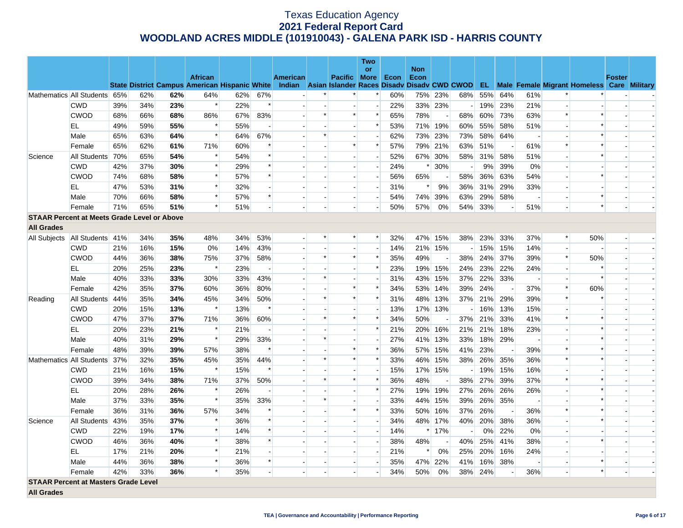|                   |                                                    |     |     |     |                                                                                                  |     |        |                          |        |                     | Two                      |      |                    |         |     |     |         |                          |                |                                                      |               |  |
|-------------------|----------------------------------------------------|-----|-----|-----|--------------------------------------------------------------------------------------------------|-----|--------|--------------------------|--------|---------------------|--------------------------|------|--------------------|---------|-----|-----|---------|--------------------------|----------------|------------------------------------------------------|---------------|--|
|                   |                                                    |     |     |     | <b>African</b>                                                                                   |     |        | <b>American</b>          |        | <b>Pacific More</b> | <b>or</b>                | Econ | <b>Non</b><br>Econ |         |     |     |         |                          |                |                                                      | <b>Foster</b> |  |
|                   |                                                    |     |     |     | State District Campus American Hispanic White Indian Asian Islander Races Disady Disady CWD CWOD |     |        |                          |        |                     |                          |      |                    |         |     |     |         |                          |                | <b>EL</b> Male Female Migrant Homeless Care Military |               |  |
|                   | Mathematics All Students 65%                       |     | 62% | 62% | 64%                                                                                              | 62% | 67%    |                          | *      |                     |                          | 60%  | 75%                | 23%     | 68% | 55% | 64%     | 61%                      | *              | $\ast$                                               |               |  |
|                   | <b>CWD</b>                                         | 39% | 34% | 23% | $\ast$                                                                                           | 22% | $\ast$ |                          |        |                     | $\overline{\phantom{a}}$ | 22%  | 33%                | 23%     |     | 19% | 23%     | 21%                      | $\overline{a}$ |                                                      |               |  |
|                   | <b>CWOD</b>                                        | 68% | 66% | 68% | 86%                                                                                              | 67% | 83%    |                          | $\ast$ | $\ast$              | $\ast$                   | 65%  | 78%                |         | 68% | 60% | 73%     | 63%                      | $\ast$         | $\ast$                                               |               |  |
|                   | EL                                                 | 49% | 59% | 55% | $\ast$                                                                                           | 55% |        | $\overline{a}$           |        |                     | $\ast$                   | 53%  | 71%                | 19%     | 60% | 55% | 58%     | 51%                      |                | $\ast$                                               |               |  |
|                   | Male                                               | 65% | 63% | 64% | $\ast$                                                                                           | 64% | 67%    |                          | $\ast$ |                     |                          | 62%  | 73%                | 23%     | 73% | 58% | 64%     |                          |                | $\ast$                                               |               |  |
|                   | Female                                             | 65% | 62% | 61% | 71%                                                                                              | 60% |        |                          |        | $\ast$              | $\ast$                   | 57%  |                    | 79% 21% | 63% | 51% |         | 61%                      | $\ast$         | $\ast$                                               |               |  |
| Science           | All Students 70%                                   |     | 65% | 54% | $\ast$                                                                                           | 54% | $\ast$ |                          |        |                     | $\overline{\phantom{a}}$ | 52%  |                    | 67% 30% | 58% | 31% | 58%     | 51%                      |                | $\ast$                                               |               |  |
|                   | <b>CWD</b>                                         | 42% | 37% | 30% | $\ast$                                                                                           | 29% | $\ast$ |                          |        |                     | $\overline{\phantom{a}}$ | 24%  | $\ast$             | 30%     |     | 9%  | 39%     | 0%                       |                |                                                      |               |  |
|                   | <b>CWOD</b>                                        | 74% | 68% | 58% | $\ast$                                                                                           | 57% | $\ast$ |                          |        |                     |                          | 56%  | 65%                |         | 58% | 36% | 63%     | 54%                      |                | $\ast$                                               |               |  |
|                   | EL                                                 | 47% | 53% | 31% | $\ast$                                                                                           | 32% |        |                          |        |                     |                          | 31%  | $\ast$             | 9%      | 36% | 31% | 29%     | 33%                      |                |                                                      |               |  |
|                   | Male                                               | 70% | 66% | 58% | $\ast$                                                                                           | 57% | $\ast$ |                          |        |                     | $\overline{\phantom{a}}$ | 54%  | 74%                | 39%     | 63% | 29% | 58%     |                          |                | $\ast$                                               |               |  |
|                   | Female                                             | 71% | 65% | 51% | $\ast$                                                                                           | 51% |        |                          |        | $\blacksquare$      |                          | 50%  | 57%                | 0%      | 54% | 33% |         | 51%                      |                | $\ast$                                               |               |  |
|                   | <b>STAAR Percent at Meets Grade Level or Above</b> |     |     |     |                                                                                                  |     |        |                          |        |                     |                          |      |                    |         |     |     |         |                          |                |                                                      |               |  |
| <b>All Grades</b> |                                                    |     |     |     |                                                                                                  |     |        |                          |        |                     |                          |      |                    |         |     |     |         |                          |                |                                                      |               |  |
|                   | All Subjects   All Students   41%                  |     | 34% | 35% | 48%                                                                                              | 34% | 53%    | $\sim$                   | $\ast$ | $\ast$              | $\ast$                   | 32%  | 47%                | 15%     | 38% | 23% | 33%     | 37%                      | $\ast$         | 50%                                                  |               |  |
|                   | <b>CWD</b>                                         | 21% | 16% | 15% | 0%                                                                                               | 14% | 43%    |                          |        |                     | $\overline{\phantom{a}}$ | 14%  | 21%                | 15%     |     | 15% | 15%     | 14%                      |                |                                                      |               |  |
|                   | <b>CWOD</b>                                        | 44% | 36% | 38% | 75%                                                                                              | 37% | 58%    | $\overline{a}$           | $\ast$ | $\ast$              | $\ast$                   | 35%  | 49%                |         | 38% | 24% | 37%     | 39%                      | $\ast$         | 50%                                                  |               |  |
|                   | EL                                                 | 20% | 25% | 23% | $\ast$                                                                                           | 23% |        |                          |        |                     | $\ast$                   | 23%  |                    | 19% 15% | 24% | 23% | 22%     | 24%                      |                | $\ast$                                               |               |  |
|                   | Male                                               | 40% | 33% | 33% | 30%                                                                                              | 33% | 43%    |                          | $\ast$ |                     | $\overline{\phantom{a}}$ | 31%  | 43%                | 15%     | 37% | 22% | 33%     | $\overline{\phantom{a}}$ |                | $\ast$                                               |               |  |
|                   | Female                                             | 42% | 35% | 37% | 60%                                                                                              | 36% | 80%    |                          |        | $\ast$              | $\ast$                   | 34%  | 53%                | 14%     | 39% | 24% |         | 37%                      | $\ast$         | 60%                                                  |               |  |
| Reading           | All Students                                       | 44% | 35% | 34% | 45%                                                                                              | 34% | 50%    | $\blacksquare$           | $\ast$ | $\ast$              | $\ast$                   | 31%  | 48%                | 13%     | 37% |     | 21% 29% | 39%                      | $\ast$         |                                                      |               |  |
|                   | <b>CWD</b>                                         | 20% | 15% | 13% | $\ast$                                                                                           | 13% |        |                          |        |                     |                          | 13%  | 17%                | 13%     |     | 16% | 13%     | 15%                      |                |                                                      |               |  |
|                   | <b>CWOD</b>                                        | 47% | 37% | 37% | 71%                                                                                              | 36% | 60%    |                          | $\ast$ | $\ast$              |                          | 34%  | 50%                |         | 37% | 21% | 33%     | 41%                      | *              | $\ast$                                               |               |  |
|                   | EL                                                 | 20% | 23% | 21% | $\ast$                                                                                           | 21% |        |                          |        |                     | $\ast$                   | 21%  | 20%                | 16%     | 21% | 21% | 18%     | 23%                      |                | $\ast$                                               |               |  |
|                   | Male                                               | 40% | 31% | 29% | $\ast$                                                                                           | 29% | 33%    | $\overline{\phantom{a}}$ | $\ast$ |                     |                          | 27%  | 41%                | 13%     | 33% | 18% | 29%     |                          |                | $\ast$                                               |               |  |
|                   | Female                                             | 48% | 39% | 39% | 57%                                                                                              | 38% | $\ast$ | $\overline{a}$           |        | $\ast$              | $\ast$                   | 36%  | 57%                | 15%     | 41% | 23% |         | 39%                      | $\ast$         | $\ast$                                               |               |  |
|                   | Mathematics All Students 37%                       |     | 32% | 35% | 45%                                                                                              | 35% | 44%    |                          | $\ast$ | $\ast$              | $\ast$                   | 33%  | 46%                | 15%     | 38% | 26% | 35%     | 36%                      | $\ast$         | $\ast$                                               |               |  |
|                   | <b>CWD</b>                                         | 21% | 16% | 15% | $\ast$                                                                                           | 15% |        |                          |        |                     | $\overline{\phantom{a}}$ | 15%  |                    | 17% 15% |     | 19% | 15%     | 16%                      |                |                                                      |               |  |
|                   | <b>CWOD</b>                                        | 39% | 34% | 38% | 71%                                                                                              | 37% | 50%    |                          | $\ast$ | $\ast$              | $\ast$                   | 36%  | 48%                |         | 38% | 27% | 39%     | 37%                      | $\ast$         | $\ast$                                               |               |  |
|                   | EL                                                 | 20% | 28% | 26% | $\ast$                                                                                           | 26% |        |                          |        |                     | $\ast$                   | 27%  | 19%                | 19%     | 27% | 26% | 26%     | 26%                      |                | $\ast$                                               |               |  |
|                   | Male                                               | 37% | 33% | 35% | $\ast$                                                                                           | 35% | 33%    |                          | $\ast$ |                     |                          | 33%  | 44%                | 15%     | 39% | 26% | 35%     |                          |                | $\ast$                                               |               |  |
|                   | Female                                             | 36% | 31% | 36% | 57%                                                                                              | 34% |        |                          |        | $\ast$              | $\ast$                   | 33%  | 50%                | 16%     | 37% | 26% |         | 36%                      | $\ast$         | $\ast$                                               |               |  |
| Science           | All Students                                       | 43% | 35% | 37% | $\ast$                                                                                           | 36% | $\ast$ |                          |        |                     | $\sim$                   | 34%  | 48%                | 17%     | 40% | 20% | 38%     | 36%                      |                | $\ast$                                               |               |  |
|                   | <b>CWD</b>                                         | 22% | 19% | 17% | $\ast$                                                                                           | 14% |        |                          |        |                     |                          | 14%  | $\ast$             | 17%     |     | 0%  | 22%     | 0%                       |                |                                                      |               |  |
|                   | <b>CWOD</b>                                        | 46% | 36% | 40% | $\ast$                                                                                           | 38% | $\ast$ |                          |        |                     | $\overline{\phantom{a}}$ | 38%  | 48%                |         | 40% | 25% | 41%     | 38%                      | $\overline{a}$ | $\ast$                                               |               |  |
|                   | EL                                                 | 17% | 21% | 20% | $\ast$                                                                                           | 21% |        |                          |        |                     | $\overline{a}$           | 21%  | $\ast$             | 0%      | 25% | 20% | 16%     | 24%                      |                |                                                      |               |  |
|                   | Male                                               | 44% | 36% | 38% | $\ast$                                                                                           | 36% | $\ast$ |                          |        |                     | $\overline{\phantom{a}}$ | 35%  | 47%                | 22%     | 41% | 16% | 38%     |                          |                | $\ast$                                               |               |  |
|                   | Female                                             | 42% | 33% | 36% | $\ast$                                                                                           | 35% |        |                          |        |                     |                          | 34%  | 50%                | 0%      | 38% | 24% |         | 36%                      | $\overline{a}$ | $\ast$                                               |               |  |
|                   | <b>STAAR Percent at Masters Grade Level</b>        |     |     |     |                                                                                                  |     |        |                          |        |                     |                          |      |                    |         |     |     |         |                          |                |                                                      |               |  |
| <b>All Grades</b> |                                                    |     |     |     |                                                                                                  |     |        |                          |        |                     |                          |      |                    |         |     |     |         |                          |                |                                                      |               |  |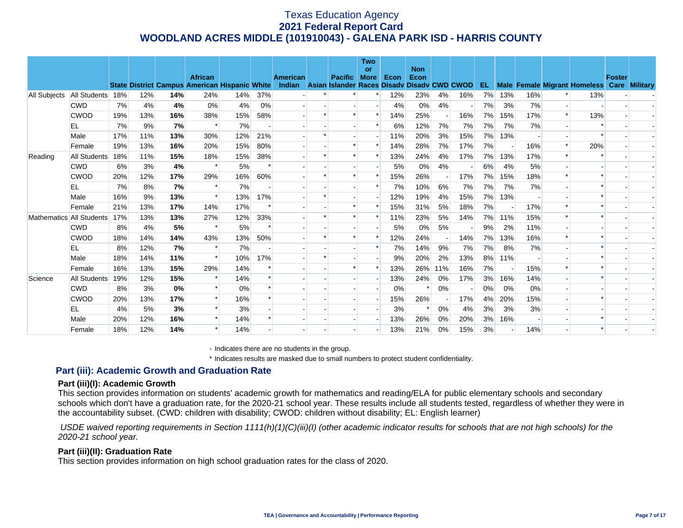|              |              |     |     |     |                                                      |     |     |                 |                                             | <b>Two</b><br><b>or</b> |      | <b>Non</b> |     |     |     |     |     |        |                                            |               |  |
|--------------|--------------|-----|-----|-----|------------------------------------------------------|-----|-----|-----------------|---------------------------------------------|-------------------------|------|------------|-----|-----|-----|-----|-----|--------|--------------------------------------------|---------------|--|
|              |              |     |     |     | <b>African</b>                                       |     |     | <b>American</b> | <b>Pacific</b>                              | <b>More</b>             | Econ | Econ       |     |     |     |     |     |        |                                            | <b>Foster</b> |  |
|              |              |     |     |     | <b>State District Campus American Hispanic White</b> |     |     | Indian          | Asian Islander Races Disady Disady CWD CWOD |                         |      |            |     |     | EL. |     |     |        | Male Female Migrant Homeless Care Military |               |  |
| All Subjects | All Students | 18% | 12% | 14% | 24%                                                  | 14% | 37% |                 |                                             |                         | 12%  | 23%        | 4%  | 16% | 7%  | 13% | 16% |        | 13%                                        |               |  |
|              | <b>CWD</b>   | 7%  | 4%  | 4%  | 0%                                                   | 4%  | 0%  |                 |                                             |                         | 4%   | 0%         | 4%  |     | 7%  | 3%  | 7%  |        |                                            |               |  |
|              | <b>CWOD</b>  | 19% | 13% | 16% | 38%                                                  | 15% | 58% |                 |                                             | *                       | 14%  | 25%        |     | 16% | 7%  | 15% | 17% | $\ast$ | 13%                                        |               |  |
|              | EL           | 7%  | 9%  | 7%  | $\ast$                                               | 7%  |     |                 |                                             |                         | 6%   | 12%        | 7%  | 7%  | 7%  | 7%  | 7%  |        |                                            |               |  |
|              | Male         | 17% | 11% | 13% | 30%                                                  | 12% | 21% |                 |                                             |                         | 11%  | 20%        | 3%  | 15% | 7%  | 13% |     |        |                                            |               |  |
|              | Female       | 19% | 13% | 16% | 20%                                                  | 15% | 80% |                 |                                             |                         | 14%  | 28%        | 7%  | 17% | 7%  |     | 16% | $\ast$ | 20%                                        |               |  |
| Reading      | All Students | 18% | 11% | 15% | 18%                                                  | 15% | 38% |                 |                                             |                         | 13%  | 24%        | 4%  | 17% | 7%  | 13% | 17% | $\ast$ |                                            |               |  |
|              | <b>CWD</b>   | 6%  | 3%  | 4%  |                                                      | 5%  |     |                 |                                             |                         | 5%   | 0%         | 4%  |     | 6%  | 4%  | 5%  |        |                                            |               |  |
|              | <b>CWOD</b>  | 20% | 12% | 17% | 29%                                                  | 16% | 60% |                 |                                             |                         | 15%  | 26%        |     | 17% | 7%  | 15% | 18% |        |                                            |               |  |
|              | EL           | 7%  | 8%  | 7%  |                                                      | 7%  |     |                 |                                             |                         | 7%   | 10%        | 6%  | 7%  | 7%  | 7%  | 7%  |        |                                            |               |  |
|              | Male         | 16% | 9%  | 13% | $\ast$                                               | 13% | 17% |                 |                                             |                         | 12%  | 19%        | 4%  | 15% | 7%  | 13% |     |        |                                            |               |  |
|              | Female       | 21% | 13% | 17% | 14%                                                  | 17% |     |                 |                                             |                         | 15%  | 31%        | 5%  | 18% | 7%  |     | 17% |        |                                            |               |  |
| Mathematics  | All Students | 17% | 13% | 13% | 27%                                                  | 12% | 33% |                 |                                             |                         | 11%  | 23%        | 5%  | 14% | 7%  | 11% | 15% |        |                                            |               |  |
|              | <b>CWD</b>   | 8%  | 4%  | 5%  | $\ast$                                               | 5%  |     |                 |                                             |                         | 5%   | 0%         | 5%  |     | 9%  | 2%  | 11% |        |                                            |               |  |
|              | <b>CWOD</b>  | 18% | 14% | 14% | 43%                                                  | 13% | 50% |                 |                                             |                         | 12%  | 24%        |     | 14% | 7%  | 13% | 16% |        |                                            |               |  |
|              | EL           | 8%  | 12% | 7%  | $\ast$                                               | 7%  |     |                 |                                             |                         | 7%   | 14%        | 9%  | 7%  | 7%  | 8%  | 7%  |        |                                            |               |  |
|              | Male         | 18% | 14% | 11% | $\ast$                                               | 10% | 17% |                 |                                             |                         | 9%   | 20%        | 2%  | 13% | 8%  | 11% |     |        |                                            |               |  |
|              | Female       | 16% | 13% | 15% | 29%                                                  | 14% |     |                 |                                             |                         | 13%  | 26%        | 11% | 16% | 7%  |     | 15% |        |                                            |               |  |
| Science      | All Students | 19% | 12% | 15% |                                                      | 14% |     |                 |                                             |                         | 13%  | 24%        | 0%  | 17% | 3%  | 16% | 14% |        |                                            |               |  |
|              | <b>CWD</b>   | 8%  | 3%  | 0%  | $\ast$                                               | 0%  |     |                 |                                             |                         | 0%   |            | 0%  |     | 0%  | 0%  | 0%  |        |                                            |               |  |
|              | <b>CWOD</b>  | 20% | 13% | 17% | $\ast$                                               | 16% |     |                 |                                             |                         | 15%  | 26%        |     | 17% | 4%  | 20% | 15% |        |                                            |               |  |
|              | EL           | 4%  | 5%  | 3%  |                                                      | 3%  |     |                 |                                             |                         | 3%   |            | 0%  | 4%  | 3%  | 3%  | 3%  |        |                                            |               |  |
|              | Male         | 20% | 12% | 16% |                                                      | 14% |     |                 |                                             |                         | 13%  | 26%        | 0%  | 20% | 3%  | 16% |     |        |                                            |               |  |
|              | Female       | 18% | 12% | 14% |                                                      | 14% |     |                 |                                             |                         | 13%  | 21%        | 0%  | 15% | 3%  |     | 14% |        |                                            |               |  |

- Indicates there are no students in the group.

\* Indicates results are masked due to small numbers to protect student confidentiality.

## **Part (iii): Academic Growth and Graduation Rate**

#### **Part (iii)(I): Academic Growth**

This section provides information on students' academic growth for mathematics and reading/ELA for public elementary schools and secondary schools which don't have a graduation rate, for the 2020-21 school year. These results include all students tested, regardless of whether they were in the accountability subset. (CWD: children with disability; CWOD: children without disability; EL: English learner)

 *USDE waived reporting requirements in Section 1111(h)(1)(C)(iii)(I) (other academic indicator results for schools that are not high schools) for the 2020-21 school year.* 

#### **Part (iii)(II): Graduation Rate**

This section provides information on high school graduation rates for the class of 2020.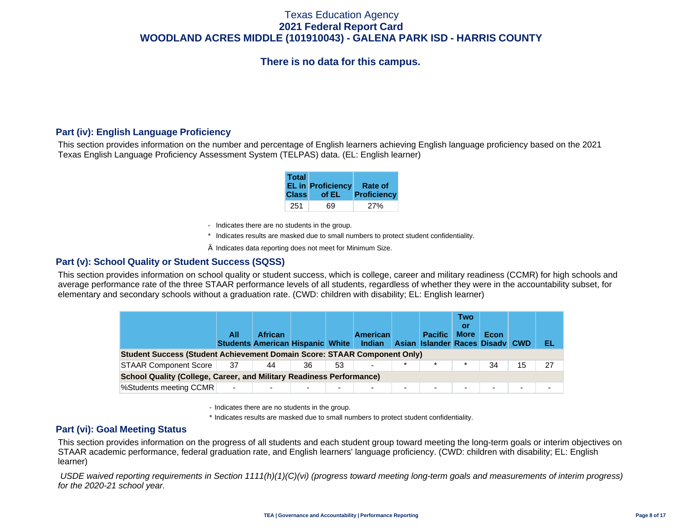# **There is no data for this campus.**

## **Part (iv): English Language Proficiency**

This section provides information on the number and percentage of English learners achieving English language proficiency based on the 2021 Texas English Language Proficiency Assessment System (TELPAS) data. (EL: English learner)

| <b>Total</b> | <b>EL in Proficiency</b> | Rate of            |
|--------------|--------------------------|--------------------|
| <b>Class</b> | of EL                    | <b>Proficiency</b> |
| 251          | 69                       |                    |

- Indicates there are no students in the group.
- \* Indicates results are masked due to small numbers to protect student confidentiality.
- $\diamond$  Indicates data reporting does not meet for Minimum Size.

### **Part (v): School Quality or Student Success (SQSS)**

This section provides information on school quality or student success, which is college, career and military readiness (CCMR) for high schools and average performance rate of the three STAAR performance levels of all students, regardless of whether they were in the accountability subset, for elementary and secondary schools without a graduation rate. (CWD: children with disability; EL: English learner)

|                                                                                 | All                      | <b>African</b><br><b>Students American Hispanic White Indian</b> |    |    | <b>American</b>          |        | <b>Pacific</b><br>Asian Islander Races Disady CWD | <b>Two</b><br>Οľ<br><b>More</b> | Econ                     |    | EL. |  |  |
|---------------------------------------------------------------------------------|--------------------------|------------------------------------------------------------------|----|----|--------------------------|--------|---------------------------------------------------|---------------------------------|--------------------------|----|-----|--|--|
| <b>Student Success (Student Achievement Domain Score: STAAR Component Only)</b> |                          |                                                                  |    |    |                          |        |                                                   |                                 |                          |    |     |  |  |
| <b>STAAR Component Score</b>                                                    | 37                       | 44                                                               | 36 | 53 | $\overline{\phantom{0}}$ | $\ast$ | $\ast$                                            |                                 | 34                       | 15 |     |  |  |
| <b>School Quality (College, Career, and Military Readiness Performance)</b>     |                          |                                                                  |    |    |                          |        |                                                   |                                 |                          |    |     |  |  |
| %Students meeting CCMR                                                          | $\overline{\phantom{a}}$ |                                                                  |    | ۰. | -                        | -      | $\overline{\phantom{a}}$                          |                                 | $\overline{\phantom{a}}$ | ۰. |     |  |  |

- Indicates there are no students in the group.
- \* Indicates results are masked due to small numbers to protect student confidentiality.

### **Part (vi): Goal Meeting Status**

This section provides information on the progress of all students and each student group toward meeting the long-term goals or interim objectives on STAAR academic performance, federal graduation rate, and English learners' language proficiency. (CWD: children with disability; EL: English learner)

 *USDE waived reporting requirements in Section 1111(h)(1)(C)(vi) (progress toward meeting long-term goals and measurements of interim progress) for the 2020-21 school year.*